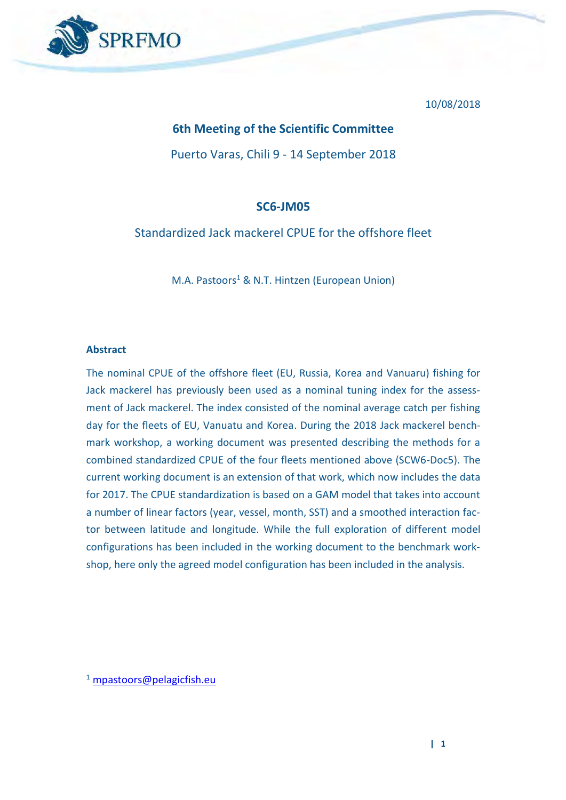

10/08/2018

### **6th Meeting of the Scientific Committee**

Puerto Varas, Chili 9 - 14 September 2018

### **SC6-JM05**

Standardized Jack mackerel CPUE for the offshore fleet

M.A. Pastoors<sup>1</sup> & N.T. Hintzen (European Union)

#### **Abstract**

The nominal CPUE of the offshore fleet (EU, Russia, Korea and Vanuaru) fishing for Jack mackerel has previously been used as a nominal tuning index for the assessment of Jack mackerel. The index consisted of the nominal average catch per fishing day for the fleets of EU, Vanuatu and Korea. During the 2018 Jack mackerel benchmark workshop, a working document was presented describing the methods for a combined standardized CPUE of the four fleets mentioned above (SCW6-Doc5). The current working document is an extension of that work, which now includes the data for 2017. The CPUE standardization is based on a GAM model that takes into account a number of linear factors (year, vessel, month, SST) and a smoothed interaction factor between latitude and longitude. While the full exploration of different model configurations has been included in the working document to the benchmark workshop, here only the agreed model configuration has been included in the analysis.

 $1$  [mpastoors@pelagicfish.eu](mailto:mpastoors@pelagicfish.eu)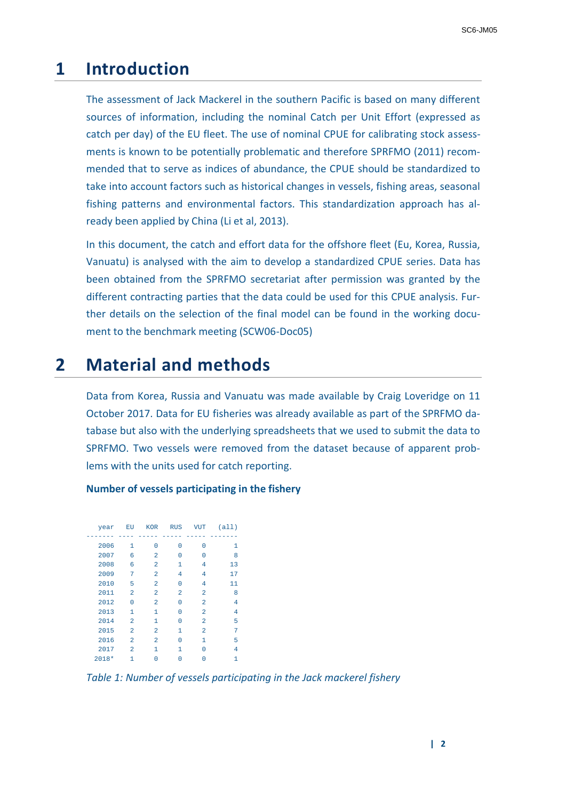# **1 Introduction**

The assessment of Jack Mackerel in the southern Pacific is based on many different sources of information, including the nominal Catch per Unit Effort (expressed as catch per day) of the EU fleet. The use of nominal CPUE for calibrating stock assessments is known to be potentially problematic and therefore SPRFMO (2011) recommended that to serve as indices of abundance, the CPUE should be standardized to take into account factors such as historical changes in vessels, fishing areas, seasonal fishing patterns and environmental factors. This standardization approach has already been applied by China (Li et al, 2013).

In this document, the catch and effort data for the offshore fleet (Eu, Korea, Russia, Vanuatu) is analysed with the aim to develop a standardized CPUE series. Data has been obtained from the SPRFMO secretariat after permission was granted by the different contracting parties that the data could be used for this CPUE analysis. Further details on the selection of the final model can be found in the working document to the benchmark meeting (SCW06-Doc05)

# **2 Material and methods**

Data from Korea, Russia and Vanuatu was made available by Craig Loveridge on 11 October 2017. Data for EU fisheries was already available as part of the SPRFMO database but also with the underlying spreadsheets that we used to submit the data to SPRFMO. Two vessels were removed from the dataset because of apparent problems with the units used for catch reporting.

| year    | EU             | <b>KOR</b>     | <b>RUS</b>     | VUT            | (a11) |
|---------|----------------|----------------|----------------|----------------|-------|
|         |                |                |                |                |       |
| 2006    | 1              | O              | n              | n              | 1     |
| 2007    | 6              | 2              | n              | n              | 8     |
| 2008    | 6              | $\overline{a}$ | 1              | 4              | 13    |
| 2009    | 7              | $\overline{a}$ | $\overline{4}$ | 4              | 17    |
| 2010    | 5              | $\overline{a}$ | O              | 4              | 11    |
| 2011    | $\overline{a}$ | $\overline{a}$ | $\overline{2}$ | $\overline{a}$ | 8     |
| 2012    | 0              | $\overline{a}$ | O              | $\overline{a}$ | 4     |
| 2013    | $\mathbf{1}$   | 1              | n              | $\overline{a}$ | 4     |
| 2014    | $\overline{a}$ | 1              | O              | $\overline{a}$ | 5     |
| 2015    | $\overline{a}$ | $\overline{a}$ | 1              | $\overline{a}$ | 7     |
| 2016    | $\overline{a}$ | $\overline{a}$ | n              | 1              | 5     |
| 2017    | $\overline{a}$ | 1              | 1              |                | 4     |
| $2018*$ | 1              |                | n              |                | 1     |

**Number of vessels participating in the fishery**

*Table 1: Number of vessels participating in the Jack mackerel fishery*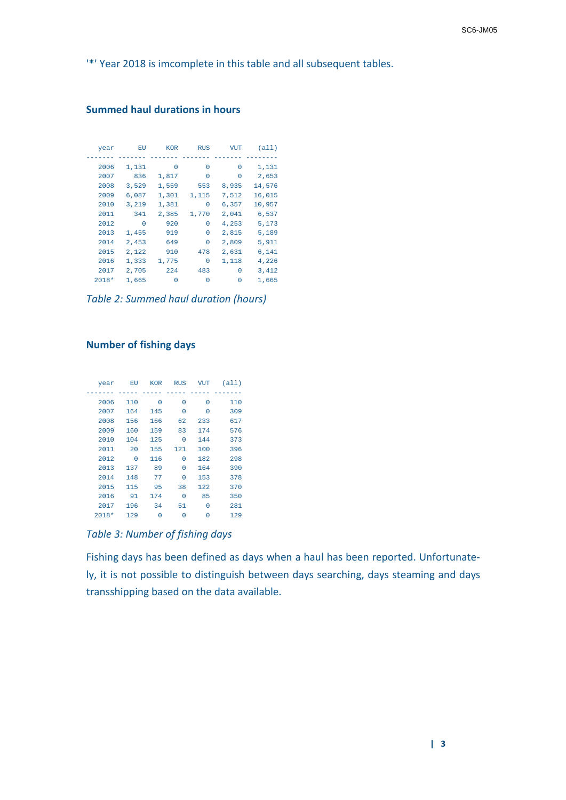'\*' Year 2018 is imcomplete in this table and all subsequent tables.

### **Summed haul durations in hours**

| year    | EU       | <b>KOR</b> | <b>RUS</b> | VUT      | (a11)  |
|---------|----------|------------|------------|----------|--------|
|         |          |            |            |          |        |
| 2006    | 1,131    | 0          | O          | $\Omega$ | 1,131  |
| 2007    | 836      | 1,817      | 0          | $\Omega$ | 2,653  |
| 2008    | 3,529    | 1,559      | 553        | 8,935    | 14,576 |
| 2009    | 6,087    | 1,301      | 1,115      | 7,512    | 16,015 |
| 2010    | 3,219    | 1,381      | 0          | 6,357    | 10,957 |
| 2011    | 341      | 2,385      | 1,770      | 2,041    | 6,537  |
| 2012    | $\Omega$ | 920        | U          | 4,253    | 5,173  |
| 2013    | 1,455    | 919        | $\Omega$   | 2,815    | 5,189  |
| 2014    | 2,453    | 649        | 0          | 2,809    | 5,911  |
| 2015    | 2,122    | 910        | 478        | 2,631    | 6,141  |
| 2016    | 1,333    | 1,775      | 0          | 1,118    | 4,226  |
| 2017    | 2,705    | 224        | 483        | $\Omega$ | 3,412  |
| $2018*$ | 1,665    | 0          | 0          | $\Omega$ | 1,665  |

*Table 2: Summed haul duration (hours)*

#### **Number of fishing days**

| year    | ЕU  | <b>KOR</b> | <b>RUS</b> | VUT | (a11) |
|---------|-----|------------|------------|-----|-------|
|         |     |            |            |     |       |
| 2006    | 110 | $\Omega$   | 0          | O   | 110   |
| 2007    | 164 | 145        | 0          | 0   | 309   |
| 2008    | 156 | 166        | 62         | 233 | 617   |
| 2009    | 160 | 159        | 83         | 174 | 576   |
| 2010    | 104 | 125        | $\Omega$   | 144 | 373   |
| 2011    | 20  | 155        | 121        | 100 | 396   |
| 2012    | 0   | 116        | 0          | 182 | 298   |
| 2013    | 137 | 89         | $\Omega$   | 164 | 390   |
| 2014    | 148 | 77         | 0          | 153 | 378   |
| 2015    | 115 | 95         | 38         | 122 | 370   |
| 2016    | 91  | 174        | 0          | 85  | 350   |
| 2017    | 196 | 34         | 51         | 0   | 281   |
| $2018*$ | 129 | 0          | 0          | 0   | 129   |

*Table 3: Number of fishing days*

Fishing days has been defined as days when a haul has been reported. Unfortunately, it is not possible to distinguish between days searching, days steaming and days transshipping based on the data available.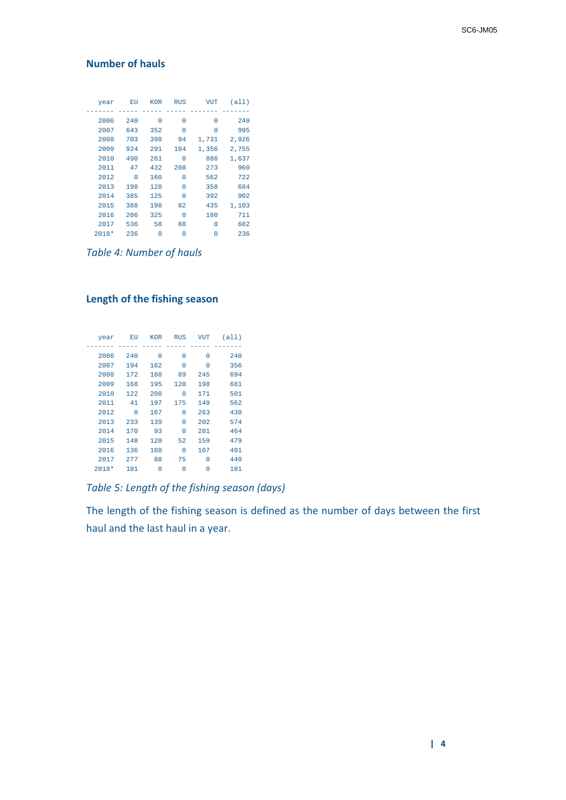### **Number of hauls**

| year    | ЕU  | <b>KOR</b> | <b>RUS</b> | VUT   | (a11) |
|---------|-----|------------|------------|-------|-------|
|         |     |            |            |       |       |
| 2006    | 240 | O          | $\Omega$   | O     | 240   |
| 2007    | 643 | 352        | $\Omega$   | 0     | 995   |
| 2008    | 703 | 398        | 94         | 1,731 | 2,926 |
| 2009    | 924 | 291        | 184        | 1,356 | 2,755 |
| 2010    | 490 | 261        | $\Omega$   | 886   | 1,637 |
| 2011    | 47  | 432        | 208        | 273   | 960   |
| 2012    | 0   | 160        | $\Omega$   | 562   | 722   |
| 2013    | 198 | 128        | $\Omega$   | 358   | 684   |
| 2014    | 385 | 125        | $\Omega$   | 392   | 902   |
| 2015    | 388 | 198        | 82         | 435   | 1,103 |
| 2016    | 206 | 325        | $\Omega$   | 180   | 711   |
| 2017    | 536 | 58         | 88         | O     | 682   |
| $2018*$ | 236 | 0          | 0          | N     | 236   |

*Table 4: Number of hauls*

## **Length of the fishing season**

| year  | EU  | <b>KOR</b> | <b>RUS</b> | VUT | (a11) |
|-------|-----|------------|------------|-----|-------|
|       |     |            |            |     |       |
| 2006  | 240 | O          | $\Omega$   | O   | 240   |
| 2007  | 194 | 162        | $\Omega$   | 0   | 356   |
| 2008  | 172 | 188        | 89         | 245 | 694   |
| 2009  | 168 | 195        | 120        | 198 | 681   |
| 2010  | 122 | 208        | 0          | 171 | 501   |
| 2011  | 41  | 197        | 175        | 149 | 562   |
| 2012  | 0   | 167        | $\Omega$   | 263 | 430   |
| 2013  | 233 | 139        | $\Omega$   | 202 | 574   |
| 2014  | 170 | 93         | $\Omega$   | 201 | 464   |
| 2015  | 148 | 120        | 52         | 159 | 479   |
| 2016  | 136 | 188        | $\Omega$   | 167 | 491   |
| 2017  | 277 | 88         | 75         | 0   | 440   |
| 2018* | 181 | 0          | 0          | 0   | 181   |

*Table 5: Length of the fishing season (days)*

The length of the fishing season is defined as the number of days between the first haul and the last haul in a year.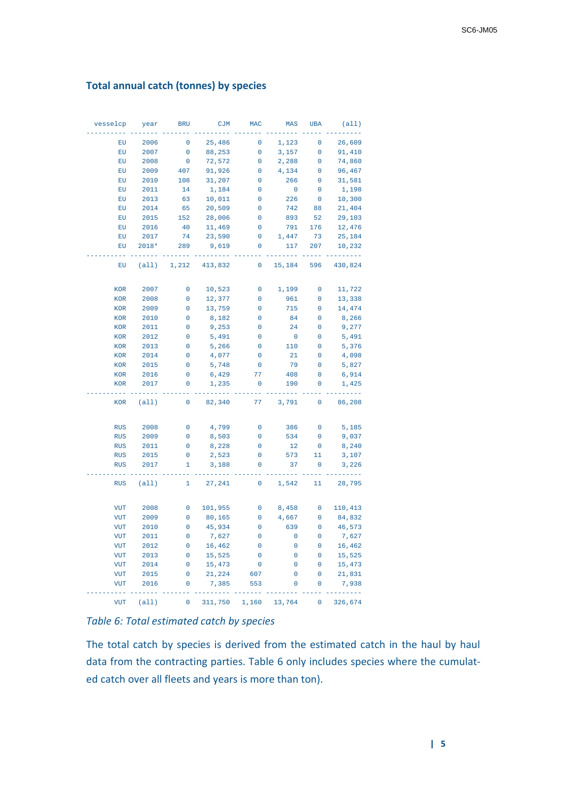### **Total annual catch (tonnes) by species**

| vesselcp                  | year    | <b>BRU</b>   | <b>CJM</b> | <b>MAC</b>  | MAS         | <b>UBA</b>          | (all)   |
|---------------------------|---------|--------------|------------|-------------|-------------|---------------------|---------|
| EU                        | 2006    | $\mathbf 0$  | 25,486     | 0           | 1,123       | $\mathbf 0$         | 26,609  |
| ${\mathbb E} {\mathbf U}$ | 2007    | 0            | 88,253     | 0           | 3,157       | 0                   | 91,410  |
| ${\mathbb E} {\mathbf U}$ | 2008    | 0            | 72,572     | 0           | 2,288       | 0                   | 74,860  |
| EU                        | 2009    | 407          | 91,926     | 0           | 4,134       | 0                   | 96,467  |
| ${\mathbb E} {\mathbf U}$ | 2010    | 108          | 31,207     | 0           | 266         | $\mathbf 0$         | 31,581  |
| EU                        | 2011    | 14           | 1,184      | 0           | $\pmb{0}$   | $\mathbf 0$         | 1,198   |
| EU                        | 2013    | 63           | 10,011     | 0           | 226         | 0                   | 10,300  |
| ${\mathbb E} {\mathbf U}$ | 2014    | 65           | 20,509     | 0           | 742         | 88                  | 21,404  |
| ${\mathbb E} {\mathbf U}$ | 2015    | 152          | 28,006     | 0           | 893         | 52                  | 29,103  |
| ${\mathbb E} {\mathbf U}$ | 2016    | 40           | 11,469     | 0           | 791         | 176                 | 12,476  |
| EU                        | 2017    | 74           | 23,590     | 0           | 1,447       | 73                  | 25,184  |
| ${\mathbb E} {\mathbf U}$ | $2018*$ | 289          | 9,619      | 0           | 117         | 207                 | 10,232  |
|                           |         |              |            |             |             |                     |         |
| EU                        | (all)   | 1,212        | 413,832    | $\mathbf 0$ | 15,184      | 596                 | 430,824 |
| KOR                       | 2007    | 0            | 10,523     | $\pmb{0}$   | 1,199       | 0                   | 11,722  |
| <b>KOR</b>                | 2008    | $\mathbf 0$  | 12,377     | 0           | 961         | 0                   | 13,338  |
| <b>KOR</b>                | 2009    | 0            | 13,759     | 0           | 715         | 0                   | 14,474  |
| <b>KOR</b>                | 2010    | $\mathsf 0$  | 8,182      | 0           | 84          | $\mathbf 0$         | 8,266   |
| <b>KOR</b>                | 2011    | 0            | 9,253      | 0           | 24          | 0                   | 9,277   |
| <b>KOR</b>                | 2012    | 0            | 5,491      | 0           | 0           | 0                   | 5,491   |
| KOR                       | 2013    | $\mathbf 0$  | 5,266      | 0           | 110         | 0                   | 5,376   |
| <b>KOR</b>                | 2014    | 0            | 4,077      | 0           | 21          | 0                   | 4,098   |
| <b>KOR</b>                | 2015    | $\mathbf 0$  | 5,748      | 0           | 79          | $\overline{0}$      | 5,827   |
| <b>KOR</b>                | 2016    | 0            | 6,429      | 77          | 408         | 0                   | 6,914   |
| <b>KOR</b>                | 2017    | 0            | 1,235      | 0           | 190         | 0                   | 1,425   |
|                           |         |              |            |             |             |                     |         |
| <b>KOR</b>                | (al1)   | 0            | 82,340     | 77          | 3,791       | $\pmb{0}$           | 86,208  |
| <b>RUS</b>                | 2008    | 0            | 4,799      | 0           | 386         | 0                   | 5,185   |
| <b>RUS</b>                | 2009    | $\mathbf 0$  | 8,503      | 0           | 534         | 0                   | 9,037   |
| <b>RUS</b>                | 2011    | 0            | 8,228      | 0           | 12          | $\mathsf{O}\xspace$ | 8,240   |
| <b>RUS</b>                | 2015    | $\mathsf 0$  | 2,523      | 0           | 573         | 11                  | 3,107   |
| <b>RUS</b>                | 2017    | 1            | 3,188      | 0           | 37          | $\mathbf{0}$        | 3,226   |
|                           |         |              |            |             |             |                     |         |
| <b>RUS</b>                | (a11)   | $\mathbf{1}$ | 27,241     | 0           | 1,542       | 11                  | 28,795  |
| <b>VUT</b>                | 2008    | 0            | 101,955    | 0           | 8,458       | 0                   | 110,413 |
| <b>VUT</b>                | 2009    | 0            | 80,165     | 0           | 4,667       | 0                   | 84,832  |
| <b>VUT</b>                | 2010    | $\mathbf 0$  | 45,934     | 0           | 639         | $\mathbf 0$         | 46,573  |
| <b>VUT</b>                | 2011    | 0            | 7,627      | 0           | 0           | 0                   | 7,627   |
| <b>VUT</b>                | 2012    | 0            | 16,462     | 0           | 0           | 0                   | 16,462  |
| VUT                       | 2013    | 0            | 15,525     | 0           | 0           | 0                   | 15,525  |
| <b>VUT</b>                | 2014    | $\mathbf 0$  | 15,473     | 0           | $\mathbf 0$ | 0                   | 15,473  |
| <b>VUT</b>                | 2015    | 0            | 21,224     | 607         | 0           | 0                   | 21,831  |
| VUT                       | 2016    | 0            | 7,385      | 553         | $\mathbf 0$ | 0                   | 7,938   |
| <b>VUT</b>                | (al1)   | $\mathbf 0$  | 311,750    | 1,160       | 13,764      | 0                   | 326,674 |

*Table 6: Total estimated catch by species*

The total catch by species is derived from the estimated catch in the haul by haul data from the contracting parties. Table 6 only includes species where the cumulated catch over all fleets and years is more than ton).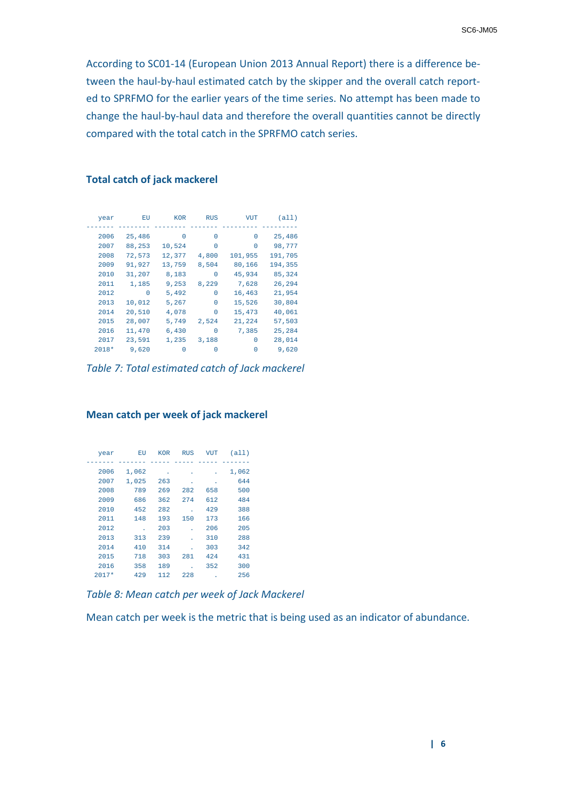According to SC01-14 (European Union 2013 Annual Report) there is a difference between the haul-by-haul estimated catch by the skipper and the overall catch reported to SPRFMO for the earlier years of the time series. No attempt has been made to change the haul-by-haul data and therefore the overall quantities cannot be directly compared with the total catch in the SPRFMO catch series.

| year    | ЕU       | <b>KOR</b> | <b>RUS</b> | <b>VUT</b> | (a11)   |
|---------|----------|------------|------------|------------|---------|
|         |          |            |            |            |         |
| 2006    | 25,486   | 0          | 0          | $\Omega$   | 25,486  |
| 2007    | 88,253   | 10,524     | 0          | $\Omega$   | 98,777  |
| 2008    | 72,573   | 12,377     | 4,800      | 101,955    | 191,705 |
| 2009    | 91,927   | 13,759     | 8,504      | 80,166     | 194,355 |
| 2010    | 31,207   | 8,183      | 0          | 45,934     | 85,324  |
| 2011    | 1,185    | 9,253      | 8,229      | 7,628      | 26,294  |
| 2012    | $\Omega$ | 5,492      | $\Omega$   | 16,463     | 21,954  |
| 2013    | 10,012   | 5,267      | $\Omega$   | 15,526     | 30,804  |
| 2014    | 20,510   | 4,078      | 0          | 15,473     | 40,061  |
| 2015    | 28,007   | 5,749      | 2,524      | 21,224     | 57,503  |
| 2016    | 11,470   | 6,430      | 0          | 7,385      | 25,284  |
| 2017    | 23,591   | 1,235      | 3,188      | $\Omega$   | 28,014  |
| $2018*$ | 9,620    | 0          | 0          | 0          | 9,620   |

#### **Total catch of jack mackerel**

*Table 7: Total estimated catch of Jack mackerel*

| year    | EU    | <b>KOR</b> | <b>RUS</b> | <b>VUT</b> | (all) |
|---------|-------|------------|------------|------------|-------|
|         |       |            |            |            |       |
| 2006    | 1,062 |            |            |            | 1,062 |
| 2007    | 1,025 | 263        | ä,         | ٠          | 644   |
| 2008    | 789   | 269        | 282        | 658        | 500   |
| 2009    | 686   | 362        | 274        | 612        | 484   |
| 2010    | 452   | 282        |            | 429        | 388   |
| 2011    | 148   | 193        | 150        | 173        | 166   |
| 2012    |       | 203        |            | 206        | 205   |
| 2013    | 313   | 239        |            | 310        | 288   |
| 2014    | 410   | 314        |            | 303        | 342   |
| 2015    | 718   | 303        | 281        | 424        | 431   |
| 2016    | 358   | 189        |            | 352        | 300   |
| $2017*$ | 429   | 112        | 228        |            | 256   |

#### **Mean catch per week of jack mackerel**

*Table 8: Mean catch per week of Jack Mackerel*

Mean catch per week is the metric that is being used as an indicator of abundance.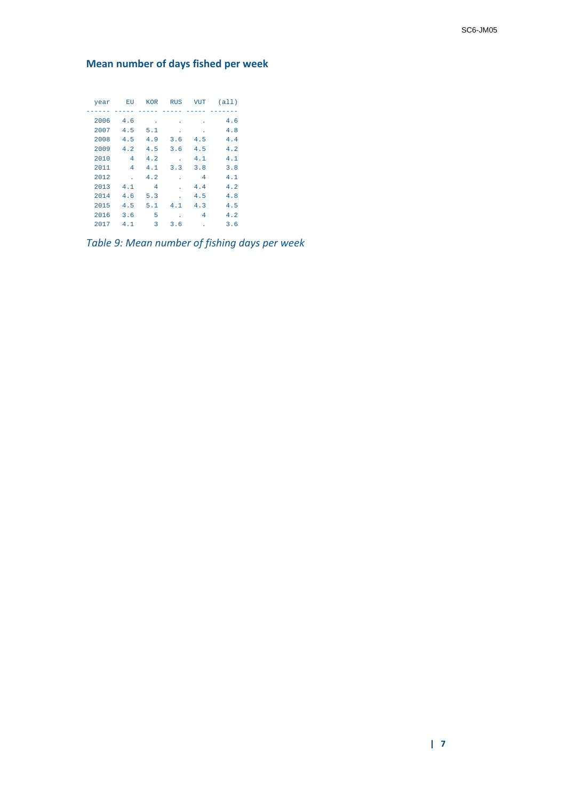**Mean number of days fished per week**

| year | EU             | <b>KOR</b> | <b>RUS</b> | <b>VUT</b> | (all) |
|------|----------------|------------|------------|------------|-------|
|      |                |            |            |            |       |
| 2006 | 4.6            |            |            |            | 4.6   |
| 2007 | 4.5            | 5.1        |            |            | 4.8   |
| 2008 | 4.5            | 4.9        | 3.6        | 4.5        | 4.4   |
| 2009 | 4.2            | 4.5        | 3.6        | 4.5        | 4.2   |
| 2010 | 4              | 4.2        |            | 4.1        | 4.1   |
| 2011 | $\overline{4}$ | 4.1        | 3.3        | 3.8        | 3.8   |
| 2012 |                | 4.2        |            | 4          | 4.1   |
| 2013 | 4.1            | 4          |            | 4.4        | 4.2   |
| 2014 | 4.6            | 5.3        |            | 4.5        | 4.8   |
| 2015 | 4.5            | 5.1        | 4.1        | 4.3        | 4.5   |
| 2016 | 3.6            | 5          |            | 4          | 4.2   |
| 2017 | 4.1            | 3          | 3.6        |            | 3.6   |

*Table 9: Mean number of fishing days per week*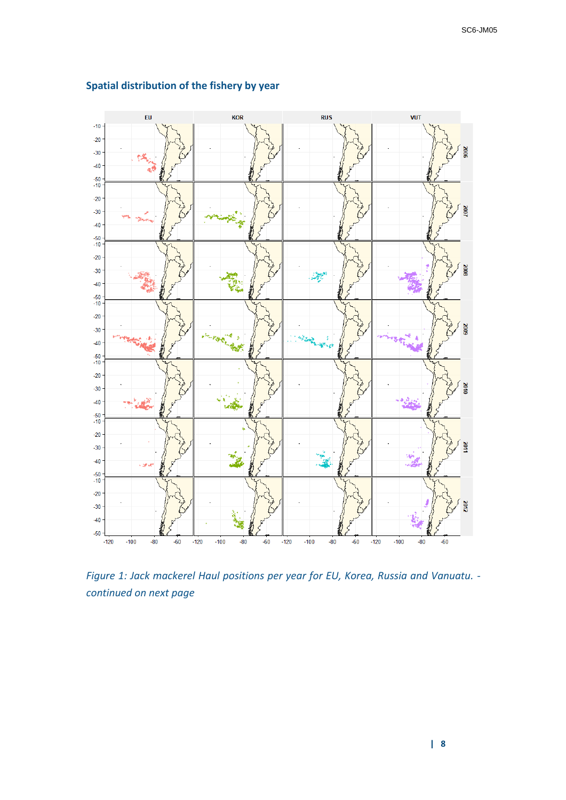

## **Spatial distribution of the fishery by year**

*Figure 1: Jack mackerel Haul positions per year for EU, Korea, Russia and Vanuatu. continued on next page*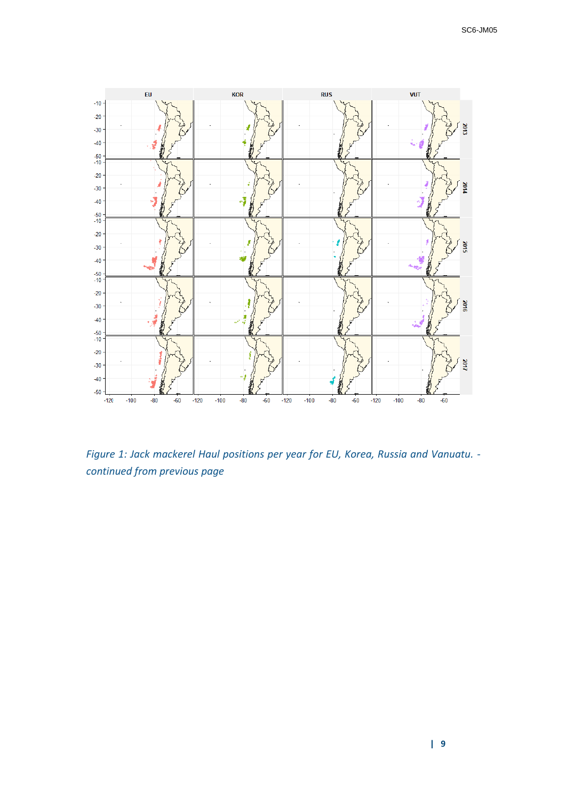

*Figure 1: Jack mackerel Haul positions per year for EU, Korea, Russia and Vanuatu. continued from previous page*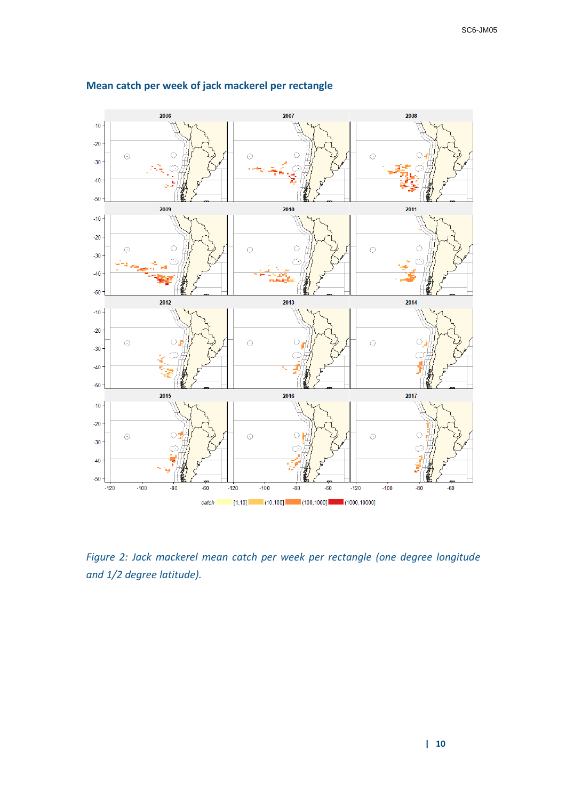

## **Mean catch per week of jack mackerel per rectangle**

*Figure 2: Jack mackerel mean catch per week per rectangle (one degree longitude and 1/2 degree latitude).*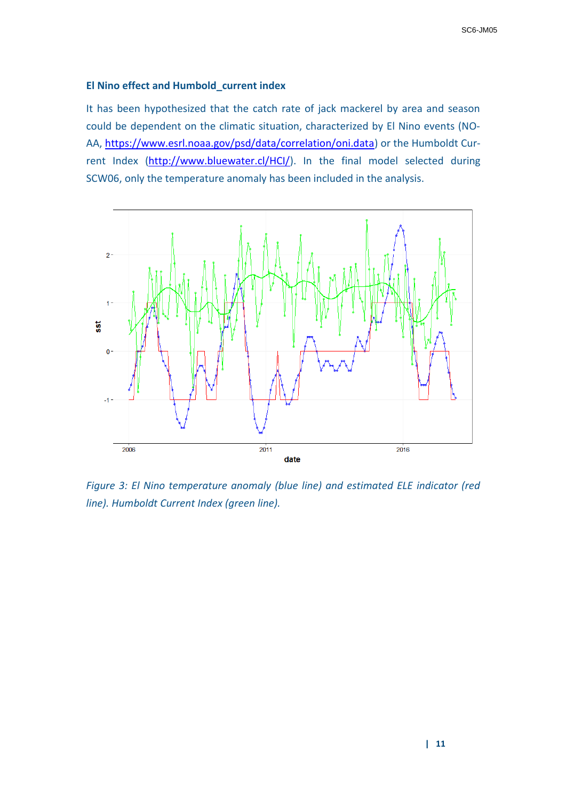#### **El Nino effect and Humbold\_current index**

It has been hypothesized that the catch rate of jack mackerel by area and season could be dependent on the climatic situation, characterized by El Nino events (NO-AA, [https://www.esrl.noaa.gov/psd/data/correlation/oni.data\)](https://www.esrl.noaa.gov/psd/data/correlation/oni.data) or the Humboldt Current Index [\(http://www.bluewater.cl/HCI/\)](http://www.bluewater.cl/HCI/). In the final model selected during SCW06, only the temperature anomaly has been included in the analysis.

![](_page_10_Figure_3.jpeg)

*Figure 3: El Nino temperature anomaly (blue line) and estimated ELE indicator (red line). Humboldt Current Index (green line).*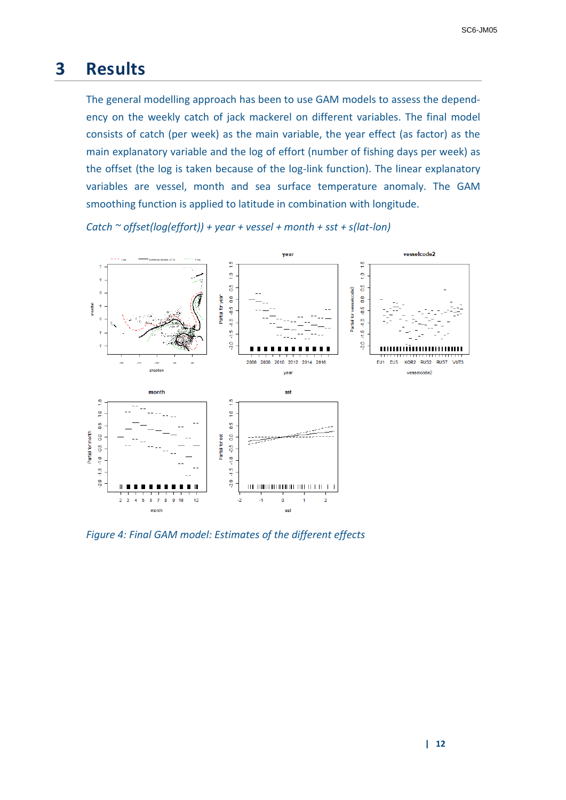# **3 Results**

The general modelling approach has been to use GAM models to assess the dependency on the weekly catch of jack mackerel on different variables. The final model consists of catch (per week) as the main variable, the year effect (as factor) as the main explanatory variable and the log of effort (number of fishing days per week) as the offset (the log is taken because of the log-link function). The linear explanatory variables are vessel, month and sea surface temperature anomaly. The GAM smoothing function is applied to latitude in combination with longitude.

![](_page_11_Figure_3.jpeg)

*Catch ~ offset(log(effort)) + year + vessel + month + sst + s(lat-lon)*

*Figure 4: Final GAM model: Estimates of the different effects*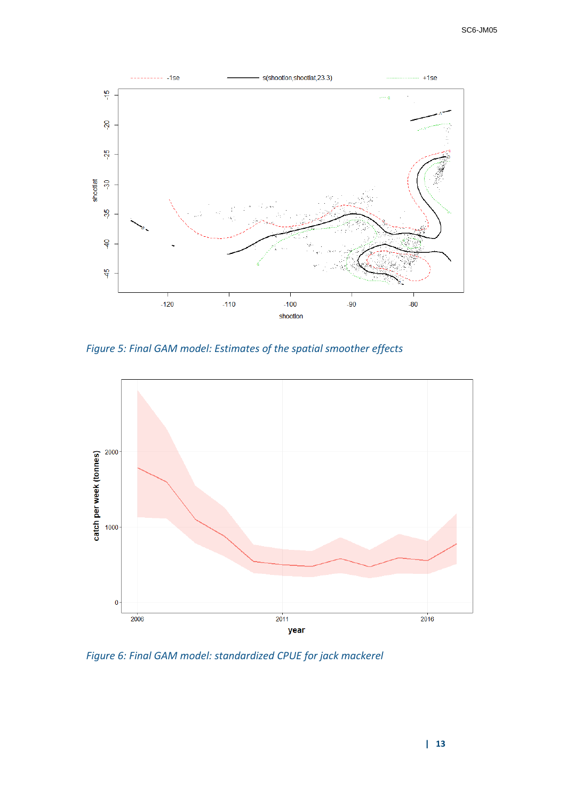![](_page_12_Figure_1.jpeg)

*Figure 5: Final GAM model: Estimates of the spatial smoother effects*

![](_page_12_Figure_3.jpeg)

*Figure 6: Final GAM model: standardized CPUE for jack mackerel*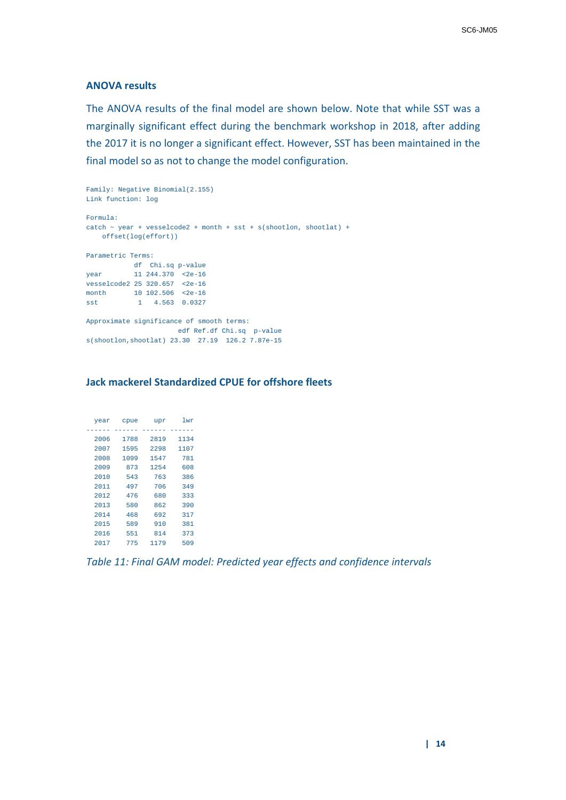#### **ANOVA results**

The ANOVA results of the final model are shown below. Note that while SST was a marginally significant effect during the benchmark workshop in 2018, after adding the 2017 it is no longer a significant effect. However, SST has been maintained in the final model so as not to change the model configuration.

```
Family: Negative Binomial(2.155) 
Link function: log 
Formula:
catch ~ vear + vesselcode2 + month + sst + s(shootlon, shootlat) + offset(log(effort))
Parametric Terms:
       df Chi.sq p-value
year 11 244.370 <2e-16
vesselcode2 25 320.657 <2e-16
month 10 102.506 <2e-16
sst 1 4.563 0.0327
Approximate significance of smooth terms:
                     edf Ref.df Chi.sq p-value
s(shootlon,shootlat) 23.30 27.19 126.2 7.87e-15
```
### **Jack mackerel Standardized CPUE for offshore fleets**

| year | cpue | upr  | 1 wr |
|------|------|------|------|
|      |      |      |      |
| 2006 | 1788 | 2819 | 1134 |
| 2007 | 1595 | 2298 | 1107 |
| 2008 | 1099 | 1547 | 781  |
| 2009 | 873  | 1254 | 608  |
| 2010 | 543  | 763  | 386  |
| 2011 | 497  | 706  | 349  |
| 2012 | 476  | 680  | 333  |
| 2013 | 580  | 862  | 390  |
| 2014 | 468  | 692  | 317  |
| 2015 | 589  | 910  | 381  |
| 2016 | 551  | 814  | 373  |
| 2017 | 775  | 1179 | 509  |

*Table 11: Final GAM model: Predicted year effects and confidence intervals*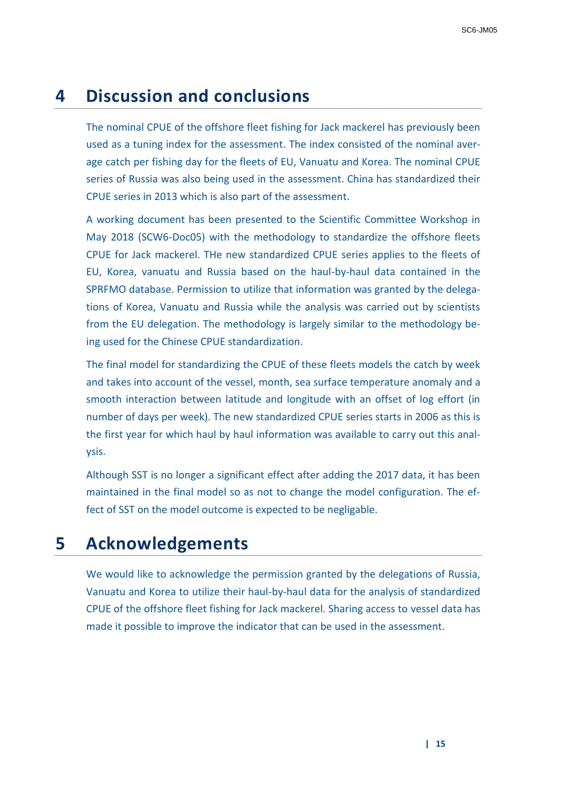# **4 Discussion and conclusions**

The nominal CPUE of the offshore fleet fishing for Jack mackerel has previously been used as a tuning index for the assessment. The index consisted of the nominal average catch per fishing day for the fleets of EU, Vanuatu and Korea. The nominal CPUE series of Russia was also being used in the assessment. China has standardized their CPUE series in 2013 which is also part of the assessment.

A working document has been presented to the Scientific Committee Workshop in May 2018 (SCW6-Doc05) with the methodology to standardize the offshore fleets CPUE for Jack mackerel. THe new standardized CPUE series applies to the fleets of EU, Korea, vanuatu and Russia based on the haul-by-haul data contained in the SPRFMO database. Permission to utilize that information was granted by the delegations of Korea, Vanuatu and Russia while the analysis was carried out by scientists from the EU delegation. The methodology is largely similar to the methodology being used for the Chinese CPUE standardization.

The final model for standardizing the CPUE of these fleets models the catch by week and takes into account of the vessel, month, sea surface temperature anomaly and a smooth interaction between latitude and longitude with an offset of log effort (in number of days per week). The new standardized CPUE series starts in 2006 as this is the first year for which haul by haul information was available to carry out this analysis.

Although SST is no longer a significant effect after adding the 2017 data, it has been maintained in the final model so as not to change the model configuration. The effect of SST on the model outcome is expected to be negligable.

# **5 Acknowledgements**

We would like to acknowledge the permission granted by the delegations of Russia, Vanuatu and Korea to utilize their haul-by-haul data for the analysis of standardized CPUE of the offshore fleet fishing for Jack mackerel. Sharing access to vessel data has made it possible to improve the indicator that can be used in the assessment.